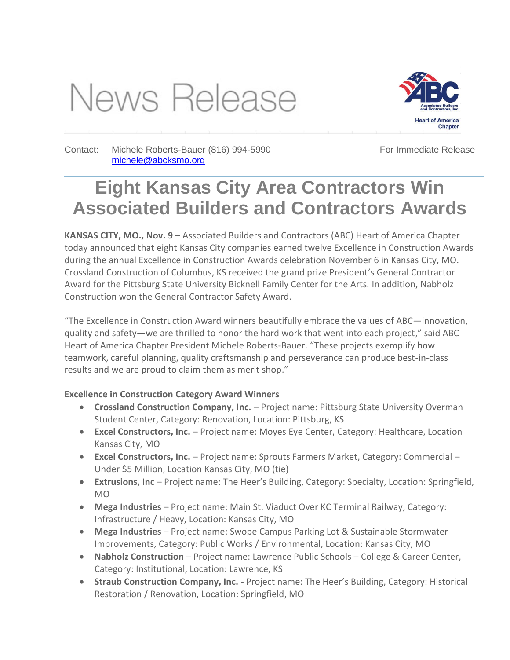# News Release



Contact: Michele Roberts-Bauer (816) 994-5990 [michele@abcksmo.org](mailto:michele@abcksmo.org) 

For Immediate Release

# **Eight Kansas City Area Contractors Win Associated Builders and Contractors Awards**

**KANSAS CITY, MO., Nov. 9** – Associated Builders and Contractors (ABC) Heart of America Chapter today announced that eight Kansas City companies earned twelve Excellence in Construction Awards during the annual Excellence in Construction Awards celebration November 6 in Kansas City, MO. Crossland Construction of Columbus, KS received the grand prize President's General Contractor Award for the Pittsburg State University Bicknell Family Center for the Arts. In addition, Nabholz Construction won the General Contractor Safety Award.

"The Excellence in Construction Award winners beautifully embrace the values of ABC—innovation, quality and safety—we are thrilled to honor the hard work that went into each project," said ABC Heart of America Chapter President Michele Roberts-Bauer. "These projects exemplify how teamwork, careful planning, quality craftsmanship and perseverance can produce best-in-class results and we are proud to claim them as merit shop."

## **Excellence in Construction Category Award Winners**

- **Crossland Construction Company, Inc.** Project name: Pittsburg State University Overman Student Center, Category: Renovation, Location: Pittsburg, KS
- **Excel Constructors, Inc.**  Project name: Moyes Eye Center, Category: Healthcare, Location Kansas City, MO
- **Excel Constructors, Inc.**  Project name: Sprouts Farmers Market, Category: Commercial Under \$5 Million, Location Kansas City, MO (tie)
- **Extrusions, Inc** Project name: The Heer's Building, Category: Specialty, Location: Springfield, MO
- **Mega Industries** Project name: Main St. Viaduct Over KC Terminal Railway, Category: Infrastructure / Heavy, Location: Kansas City, MO
- **Mega Industries** Project name: Swope Campus Parking Lot & Sustainable Stormwater Improvements, Category: Public Works / Environmental, Location: Kansas City, MO
- **Nabholz Construction**  Project name: Lawrence Public Schools College & Career Center, Category: Institutional, Location: Lawrence, KS
- **Straub Construction Company, Inc.** Project name: The Heer's Building, Category: Historical Restoration / Renovation, Location: Springfield, MO